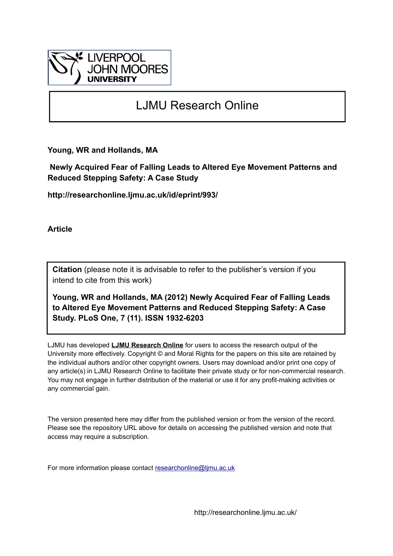

# LJMU Research Online

**Young, WR and Hollands, MA**

 **Newly Acquired Fear of Falling Leads to Altered Eye Movement Patterns and Reduced Stepping Safety: A Case Study**

**http://researchonline.ljmu.ac.uk/id/eprint/993/**

**Article**

**Citation** (please note it is advisable to refer to the publisher's version if you intend to cite from this work)

**Young, WR and Hollands, MA (2012) Newly Acquired Fear of Falling Leads to Altered Eye Movement Patterns and Reduced Stepping Safety: A Case Study. PLoS One, 7 (11). ISSN 1932-6203** 

LJMU has developed **[LJMU Research Online](http://researchonline.ljmu.ac.uk/)** for users to access the research output of the University more effectively. Copyright © and Moral Rights for the papers on this site are retained by the individual authors and/or other copyright owners. Users may download and/or print one copy of any article(s) in LJMU Research Online to facilitate their private study or for non-commercial research. You may not engage in further distribution of the material or use it for any profit-making activities or any commercial gain.

The version presented here may differ from the published version or from the version of the record. Please see the repository URL above for details on accessing the published version and note that access may require a subscription.

For more information please contact [researchonline@ljmu.ac.uk](mailto:researchonline@ljmu.ac.uk)

http://researchonline.ljmu.ac.uk/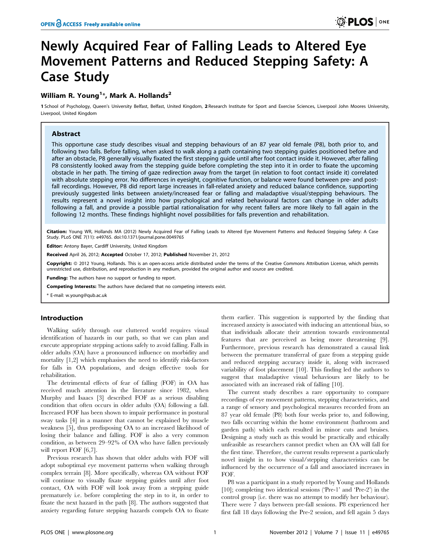# Newly Acquired Fear of Falling Leads to Altered Eye Movement Patterns and Reduced Stepping Safety: A Case Study

# William R. Young<sup>1</sup>\*, Mark A. Hollands<sup>2</sup>

1 School of Psychology, Queen's University Belfast, Belfast, United Kingdom, 2 Research Institute for Sport and Exercise Sciences, Liverpool John Moores University, Liverpool, United Kingdom

# Abstract

This opportune case study describes visual and stepping behaviours of an 87 year old female (P8), both prior to, and following two falls. Before falling, when asked to walk along a path containing two stepping guides positioned before and after an obstacle, P8 generally visually fixated the first stepping guide until after foot contact inside it. However, after falling P8 consistently looked away from the stepping guide before completing the step into it in order to fixate the upcoming obstacle in her path. The timing of gaze redirection away from the target (in relation to foot contact inside it) correlated with absolute stepping error. No differences in eyesight, cognitive function, or balance were found between pre- and postfall recordings. However, P8 did report large increases in fall-related anxiety and reduced balance confidence, supporting previously suggested links between anxiety/increased fear or falling and maladaptive visual/stepping behaviours. The results represent a novel insight into how psychological and related behavioural factors can change in older adults following a fall, and provide a possible partial rationalisation for why recent fallers are more likely to fall again in the following 12 months. These findings highlight novel possibilities for falls prevention and rehabilitation.

Citation: Young WR, Hollands MA (2012) Newly Acquired Fear of Falling Leads to Altered Eye Movement Patterns and Reduced Stepping Safety: A Case Study. PLoS ONE 7(11): e49765. doi:10.1371/journal.pone.0049765

Editor: Antony Bayer, Cardiff University, United Kingdom

Received April 26, 2012; Accepted October 17, 2012; Published November 21, 2012

Copyright: © 2012 Young, Hollands. This is an open-access article distributed under the terms of the Creative Commons Attribution License, which permits unrestricted use, distribution, and reproduction in any medium, provided the original author and source are credited.

**unding:** The authors have no support or funding to report.

Competing Interests: The authors have declared that no competing interests exist.

\* E-mail: w.young@qub.ac.uk

# Introduction

Walking safely through our cluttered world requires visual identification of hazards in our path, so that we can plan and execute appropriate stepping actions safely to avoid falling. Falls in older adults (OA) have a pronounced influence on morbidity and mortality [1,2] which emphasises the need to identify risk-factors for falls in OA populations, and design effective tools for rehabilitation.

The detrimental effects of fear of falling (FOF) in OA has received much attention in the literature since 1982, when Murphy and Isaacs [3] described FOF as a serious disabling condition that often occurs in older adults (OA) following a fall. Increased FOF has been shown to impair performance in postural sway tasks [4] in a manner that cannot be explained by muscle weakness [5], thus predisposing OA to an increased likelihood of losing their balance and falling. FOF is also a very common condition, as between 29–92% of OA who have fallen previously will report FOF [6,7].

Previous research has shown that older adults with FOF will adopt suboptimal eye movement patterns when walking through complex terrain [8]. More specifically, whereas OA without FOF will continue to visually fixate stepping guides until after foot contact, OA with FOF will look away from a stepping guide prematurely i.e. before completing the step in to it, in order to fixate the next hazard in the path [8]. The authors suggested that anxiety regarding future stepping hazards compels OA to fixate

them earlier. This suggestion is supported by the finding that increased anxiety is associated with inducing an attentional bias, so that individuals allocate their attention towards environmental features that are perceived as being more threatening [9]. Furthermore, previous research has demonstrated a causal link between the premature transferral of gaze from a stepping guide and reduced stepping accuracy inside it, along with increased variability of foot placement [10]. This finding led the authors to suggest that maladaptive visual behaviours are likely to be associated with an increased risk of falling [10].

The current study describes a rare opportunity to compare recordings of eye movement patterns, stepping characteristics, and a range of sensory and psychological measures recorded from an 87 year old female (P8) both four weeks prior to, and following, two falls occurring within the home environment (bathroom and garden path) which each resulted in minor cuts and bruises. Designing a study such as this would be practically and ethically unfeasible as researchers cannot predict when an OA will fall for the first time. Therefore, the current results represent a particularly novel insight in to how visual/stepping characteristics can be influenced by the occurrence of a fall and associated increases in FOF.

P8 was a participant in a study reported by Young and Hollands [10]; completing two identical sessions ('Pre-1' and 'Pre-2') in the control group (i.e. there was no attempt to modify her behaviour). There were 7 days between pre-fall sessions. P8 experienced her first fall 18 days following the Pre-2 session, and fell again 5 days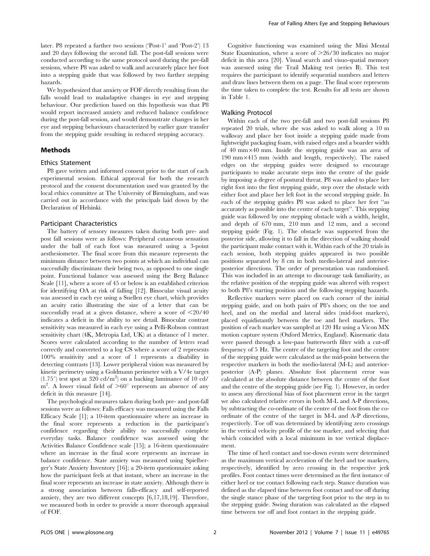later. P8 repeated a further two sessions ('Post-1' and 'Post-2') 13 and 20 days following the second fall. The post-fall sessions were conducted according to the same protocol used during the pre-fall sessions, where P8 was asked to walk and accurately place her foot into a stepping guide that was followed by two further stepping hazards.

We hypothesized that anxiety or FOF directly resulting from the falls would lead to maladaptive changes in eye and stepping behaviour. Our prediction based on this hypothesis was that P8 would report increased anxiety and reduced balance confidence during the post-fall session, and would demonstrate changes in her eye and stepping behaviours characterized by earlier gaze transfer from the stepping guide resulting in reduced stepping accuracy.

# Methods

#### Ethics Statement

P8 gave written and informed consent prior to the start of each experimental session. Ethical approval for both the research protocol and the consent documentation used was granted by the local ethics committee at The University of Birmingham, and was carried out in accordance with the principals laid down by the Declaration of Helsinki.

#### Participant Characteristics

The battery of sensory measures taken during both pre- and post fall sessions were as follows: Peripheral cutaneous sensation under the ball of each foot was measured using a 3-point aesthesiometer. The final score from this measure represents the minimum distance between two points at which an individual can successfully discriminate their being two, as opposed to one single point. Functional balance was assessed using the Berg Balance Scale [11], where a score of 45 or below is an established criterion for identifying OA at risk of falling [12]. Binocular visual acuity was assessed in each eye using a Snellen eye chart, which provides an acuity ratio illustrating the size of a letter that can be successfully read at a given distance, where a score of  $\leq 20/40$ indicates a deficit in the ability to see detail. Binocular contrast sensitivity was measured in each eye using a Pelli-Robson contrast sensitivity chart (4K, Metropia Ltd, UK) at a distance of 1 meter. Scores were calculated according to the number of letters read correctly and converted to a log CS where a score of 2 represents 100% sensitivity and a score of 1 represents a disability in detecting contrasts [13]. Lower peripheral vision was measured by kinetic perimetry using a Goldmann perimeter with a V/4e target  $(1.75^{\circ})$  test spot at 320 cd/m<sup>2</sup>) on a backing luminance of 10 cd/  $m^2$ . A lower visual field of  $> 60^\circ$  represents an absence of any deficit in this measure [14].

The psychological measures taken during both pre- and post-fall sessions were as follows: Falls efficacy was measured using the Falls Efficacy Scale [1]; a 10-item questionnaire where an increase in the final score represents a reduction in the participant's confidence regarding their ability to successfully complete everyday tasks. Balance confidence was assessed using the Activities Balance Confidence scale [15]; a 16-item questionnaire where an increase in the final score represents an increase in balance confidence. State anxiety was measured using Spielberger's State Anxiety Inventory [16]; a 20-item questionnaire asking how the participant feels at that instant, where an increase in the final score represents an increase in state anxiety. Although there is a strong association between falls-efficacy and self-reported anxiety, they are two different concepts [6,17,18,19]. Therefore, we measured both in order to provide a more thorough appraisal of FOF.

Cognitive functioning was examined using the Mini Mental State Examination, where a score of  $\geq 26/30$  indicates no major deficit in this area [20]. Visual search and visuo-spatial memory was assessed using the Trail Making test (series B). This test requires the participant to identify sequential numbers and letters and draw lines between them on a page. The final score represents the time taken to complete the test. Results for all tests are shown in Table 1.

#### Walking Protocol

Within each of the two pre-fall and two post-fall sessions P8 repeated 20 trials, where she was asked to walk along a 10 m walkway and place her foot inside a stepping guide made from lightweight packaging foam, with raised edges and a boarder width of 40 mm $\times$ 40 mm. Inside the stepping guide was an area of 190 mm×415 mm (width and length, respectively). The raised edges on the stepping guides were designed to encourage participants to make accurate steps into the centre of the guide by imposing a degree of postural threat. P8 was asked to place her right foot into the first stepping guide, step over the obstacle with either foot and place her left foot in the second stepping guide. In each of the stepping guides P8 was asked to place her feet ''as accurately as possible into the centre of each target''. This stepping guide was followed by one stepping obstacle with a width, height, and depth of 670 mm, 210 mm and 12 mm, and a second stepping guide (Fig. 1). The obstacle was supported from the posterior side, allowing it to fall in the direction of walking should the participant make contact with it. Within each of the 20 trials in each session, both stepping guides appeared in two possible positions separated by 8 cm in both medio-lateral and anteriorposterior directions. The order of presentation was randomised. This was included in an attempt to discourage task familiarity, as the relative position of the stepping guide was altered with respect to both P8's starting position and the following stepping hazards.

Reflective markers were placed on each corner of the initial stepping guide, and on both pairs of P8's shoes; on the toe and heel, and on the medial and lateral sides (mid-foot markers), placed equidistantly between the toe and heel markers. The position of each marker was sampled at 120 Hz using a Vicon MX motion capture system (Oxford Metrics, England). Kinematic data were passed through a low-pass butterworth filter with a cut-off frequency of 5 Hz. The centre of the targeting foot and the centre of the stepping guide were calculated as the mid-point between the respective markers in both the medio-lateral (M-L) and anteriorposterior (A-P) planes. Absolute foot placement error was calculated at the absolute distance between the centre of the foot and the centre of the stepping guide (see Fig. 1). However, in order to assess any directional bias of foot placement error in the target we also calculated relative errors in both M-L and A-P directions, by subtracting the co-ordinate of the centre of the foot from the coordinate of the centre of the target in M-L and A-P directions, respectively. Toe off was determined by identifying zero crossings in the vertical velocity profile of the toe marker, and selecting that which coincided with a local minimum in toe vertical displacement.

The time of heel contact and toe-down events were determined as the maximum vertical acceleration of the heel and toe markers, respectively, identified by zero crossing in the respective jerk profiles. Foot contact times were determined as the first instance of either heel or toe contact following each step. Stance duration was defined as the elapsed time between foot contact and toe off during the single stance phase of the targeting foot prior to the step in to the stepping guide. Swing duration was calculated as the elapsed time between toe off and foot contact in the stepping guide.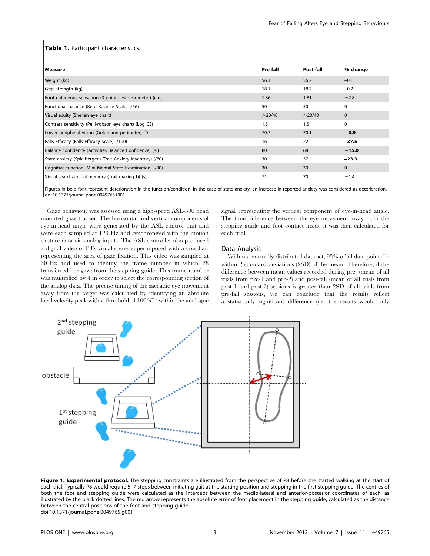#### Table 1. Participant characteristics.

| Pre-fall | Post-fall | % change     |
|----------|-----------|--------------|
| 56.3     | 56.2      | $+0.1$       |
| 18.1     | 18.2      | $+0.2$       |
| 1.86     | 1.81      | $-2.8$       |
| 50       | 50        | $\mathbf 0$  |
| >20/40   | >20/40    | $\mathbf{0}$ |
| 1.5      | 1.5       | $\Omega$     |
| 70.7     | 70.1      | $-0.9$       |
| 16       | 22        | $+37.5$      |
| 80       | 68        | $-15.0$      |
| 30       | 37        | $+23.3$      |
| 30       | 30        | $\mathbf{0}$ |
| 71       | 70        | $-1.4$       |
|          |           |              |

Figures in bold font represent deterioration in the function/condition. In the case of state anxiety, an increase in reported anxiety was considered as deterioration. doi:10.1371/journal.pone.0049765.t001

Gaze behaviour was assessed using a high-speed ASL-500 head mounted gaze tracker. The horizontal and vertical components of eye-in-head angle were generated by the ASL control unit and were each sampled at 120 Hz and synchronised with the motion capture data via analog inputs. The ASL controller also produced a digital video of P8's visual scene, superimposed with a crosshair representing the area of gaze fixation. This video was sampled at 30 Hz and used to identify the frame number in which P8 transferred her gaze from the stepping guide. This frame number was multiplied by 4 in order to select the corresponding section of the analog data. The precise timing of the saccadic eye movement away from the target was calculated by identifying an absolute local velocity peak with a threshold of  $100^{\circ} s^{-1}$  within the analogue

signal representing the vertical component of eye-in-head angle. The time difference between the eye movement away from the stepping guide and foot contact inside it was then calculated for each trial.

# Data Analysis

Within a normally distributed data set, 95% of all data points lie within 2 standard deviations (2SD) of the mean. Therefore, if the difference between mean values recorded during pre- (mean of all trials from pre-1 and pre-2) and post-fall (mean of all trials from post-1 and post-2) sessions is greater than 2SD of all trials from pre-fall sessions, we can conclude that the results reflect a statistically significant difference (i.e. the results would only



Figure 1. Experimental protocol. The stepping constraints are illustrated from the perspective of P8 before she started walking at the start of each trial. Typically P8 would require 5–7 steps between initiating gait at the starting position and stepping in the first stepping guide. The centres of both the foot and stepping guide were calculated as the intercept between the medio-lateral and anterior-posterior coordinates of each, as illustrated by the black dotted lines. The red arrow represents the absolute error of foot placement in the stepping guide, calculated as the distance between the central positions of the foot and stepping guide. doi:10.1371/journal.pone.0049765.g001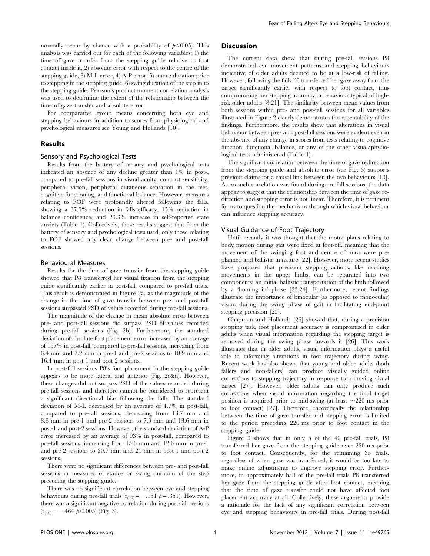normally occur by chance with a probability of  $p<0.05$ ). This analysis was carried out for each of the following variables: 1) the time of gaze transfer from the stepping guide relative to foot contact inside it, 2) absolute error with respect to the centre of the stepping guide, 3) M-L error, 4) A-P error, 5) stance duration prior to stepping in the stepping guide, 6) swing duration of the step in to the stepping guide. Pearson's product moment correlation analysis was used to determine the extent of the relationship between the time of gaze transfer and absolute error.

For comparative group means concerning both eye and stepping behaviours in addition to scores from physiological and psychological measures see Young and Hollands [10].

# Results

# Sensory and Psychological Tests

Results from the battery of sensory and psychological tests indicated an absence of any decline greater than 1% in post-, compared to pre-fall sessions in visual acuity, contrast sensitivity, peripheral vision, peripheral cutaneous sensation in the feet, cognitive functioning, and functional balance. However, measures relating to FOF were profoundly altered following the falls, showing a 37.5% reduction in falls efficacy, 15% reduction in balance confidence, and 23.3% increase in self-reported state anxiety (Table 1). Collectively, these results suggest that from the battery of sensory and psychological tests used, only those relating to FOF showed any clear change between pre- and post-fall sessions.

#### Behavioural Measures

Results for the time of gaze transfer from the stepping guide showed that P8 transferred her visual fixation from the stepping guide significantly earlier in post-fall, compared to pre-fall trials. This result is demonstrated in Figure 2a, as the magnitude of the change in the time of gaze transfer between pre- and post-fall sessions surpassed 2SD of values recorded during pre-fall sessions.

The magnitude of the change in mean absolute error between pre- and post-fall sessions did surpass 2SD of values recorded during pre-fall sessions (Fig. 2b). Furthermore, the standard deviation of absolute foot placement error increased by an average of 157% in post-fall, compared to pre-fall sessions, increasing from 6.4 mm and 7.2 mm in pre-1 and pre-2 sessions to 18.9 mm and 16.4 mm in post-1 and post-2 sessions.

In post-fall sessions P8's foot placement in the stepping guide appears to be more lateral and anterior (Fig. 2c&d). However, these changes did not surpass 2SD of the values recorded during pre-fall sessions and therefore cannot be considered to represent a significant directional bias following the falls. The standard deviation of M-L decreased by an average of 4.7% in post-fall, compared to pre-fall sessions, decreasing from 13.7 mm and 8.8 mm in pre-1 and pre-2 sessions to 7.9 mm and 13.6 mm in post-1 and post-2 sessions. However, the standard deviation of A-P error increased by an average of 93% in post-fall, compared to pre-fall sessions, increasing from 15.6 mm and 12.6 mm in pre-1 and pre-2 sessions to 30.7 mm and 24 mm in post-1 and post-2 sessions.

There were no significant differences between pre- and post-fall sessions in measures of stance or swing duration of the step preceding the stepping guide.

There was no significant correlation between eye and stepping behaviours during pre-fall trials  $(r_{(40)} = -.151 \ p = .351)$ . However, there was a significant negative correlation during post-fall sessions  $(r_{(40)} = -.464 \text{ p} < .005)$  (Fig. 3).

#### **Discussion**

The current data show that during pre-fall sessions P8 demonstrated eye movement patterns and stepping behaviours indicative of older adults deemed to be at a low-risk of falling. However, following the falls P8 transferred her gaze away from the target significantly earlier with respect to foot contact, thus compromising her stepping accuracy; a behaviour typical of highrisk older adults [8,21]. The similarity between mean values from both sessions within pre- and post-fall sessions for all variables illustrated in Figure 2 clearly demonstrates the repeatability of the findings. Furthermore, the results show that alterations in visual behaviour between pre- and post-fall sessions were evident even in the absence of any change in scores from tests relating to cognitive function, functional balance, or any of the other visual/physiological tests administered (Table 1).

The significant correlation between the time of gaze redirection from the stepping guide and absolute error (see Fig. 3) supports previous claims for a causal link between the two behaviours [10]. As no such correlation was found during pre-fall sessions, the data appear to suggest that the relationship between the time of gaze redirection and stepping error is not linear. Therefore, it is pertinent for us to question the mechanisms through which visual behaviour can influence stepping accuracy.

# Visual Guidance of Foot Trajectory

Until recently it was thought that the motor plans relating to body motion during gait were fixed at foot-off, meaning that the movement of the swinging foot and centre of mass were preplanned and ballistic in nature [22]. However, more recent studies have proposed that precision stepping actions, like reaching movements in the upper limbs, can be separated into two components; an initial ballistic transportation of the limb followed by a 'homing in' phase [23,24]. Furthermore, recent findings illustrate the importance of binocular (as opposed to monocular) vision during the swing phase of gait in facilitating end-point stepping precision [25].

Chapman and Hollands [26] showed that, during a precision stepping task, foot placement accuracy is compromised in older adults when visual information regarding the stepping target is removed during the swing phase towards it [26]. This work illustrates that in older adults, visual information plays a useful role in informing alterations in foot trajectory during swing. Recent work has also shown that young and older adults (both fallers and non-fallers) can produce visually guided online corrections to stepping trajectory in response to a moving visual target [27]. However, older adults can only produce such corrections when visual information regarding the final target position is acquired prior to mid-swing (at least  $\sim$  220 ms prior to foot contact) [27]. Therefore, theoretically the relationship between the time of gaze transfer and stepping error is limited to the period preceding 220 ms prior to foot contact in the stepping guide.

Figure 3 shows that in only 5 of the 40 pre-fall trials, P8 transferred her gaze from the stepping guide over 220 ms prior to foot contact. Consequently, for the remaining 35 trials, regardless of when gaze was transferred, it would be too late to make online adjustments to improve stepping error. Furthermore, in approximately half of the pre-fall trials P8 transferred her gaze from the stepping guide after foot contact, meaning that the time of gaze transfer could not have affected foot placement accuracy at all. Collectively, these arguments provide a rationale for the lack of any significant correlation between eye and stepping behaviours in pre-fall trials. During post-fall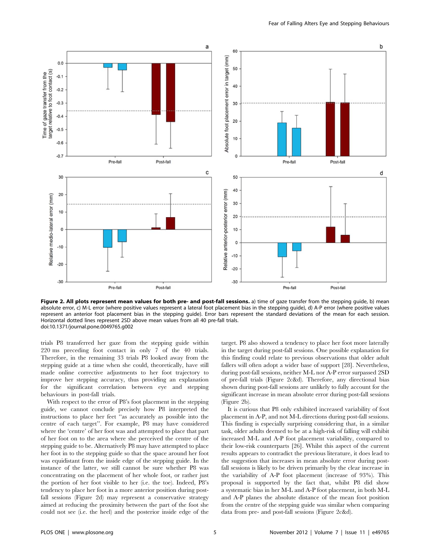

Figure 2. All plots represent mean values for both pre- and post-fall sessions. a) time of gaze transfer from the stepping guide, b) mean absolute error, c) M-L error (where positive values represent a lateral foot placement bias in the stepping guide), d) A-P error (where positive values represent an anterior foot placement bias in the stepping guide). Error bars represent the standard deviations of the mean for each session. Horizontal dotted lines represent 2SD above mean values from all 40 pre-fall trials. doi:10.1371/journal.pone.0049765.g002

trials P8 transferred her gaze from the stepping guide within 220 ms preceding foot contact in only 7 of the 40 trials. Therefore, in the remaining 33 trials P8 looked away from the stepping guide at a time when she could, theoretically, have still made online corrective adjustments to her foot trajectory to improve her stepping accuracy, thus providing an explanation for the significant correlation between eye and stepping behaviours in post-fall trials.

With respect to the error of P8's foot placement in the stepping guide, we cannot conclude precisely how P8 interpreted the instructions to place her feet ''as accurately as possible into the centre of each target''. For example, P8 may have considered where the 'centre' of her foot was and attempted to place that part of her foot on to the area where she perceived the centre of the stepping guide to be. Alternatively P8 may have attempted to place her foot in to the stepping guide so that the space around her foot was equidistant from the inside edge of the stepping guide. In the instance of the latter, we still cannot be sure whether P8 was concentrating on the placement of her whole foot, or rather just the portion of her foot visible to her (i.e. the toe). Indeed, P8's tendency to place her foot in a more anterior position during postfall sessions (Figure 2d) may represent a conservative strategy aimed at reducing the proximity between the part of the foot she could not see (i.e. the heel) and the posterior inside edge of the

target. P8 also showed a tendency to place her foot more laterally in the target during post-fall sessions. One possible explanation for this finding could relate to previous observations that older adult fallers will often adopt a wider base of support [28]. Nevertheless, during post-fall sessions, neither M-L nor A-P error surpassed 2SD of pre-fall trials (Figure 2c&d). Therefore, any directional bias shown during post-fall sessions are unlikely to fully account for the significant increase in mean absolute error during post-fall sessions (Figure 2b).

It is curious that P8 only exhibited increased variability of foot placement in A-P, and not M-L directions during post-fall sessions. This finding is especially surprising considering that, in a similar task, older adults deemed to be at a high-risk of falling will exhibit increased M-L and A-P foot placement variability, compared to their low-risk counterparts [26]. Whilst this aspect of the current results appears to contradict the previous literature, it does lead to the suggestion that increases in mean absolute error during postfall sessions is likely to be driven primarily by the clear increase in the variability of A-P foot placement (increase of 93%). This proposal is supported by the fact that, whilst P8 did show a systematic bias in her M-L and A-P foot placement, in both M-L and A-P planes the absolute distance of the mean foot position from the centre of the stepping guide was similar when comparing data from pre- and post-fall sessions (Figure 2c&d).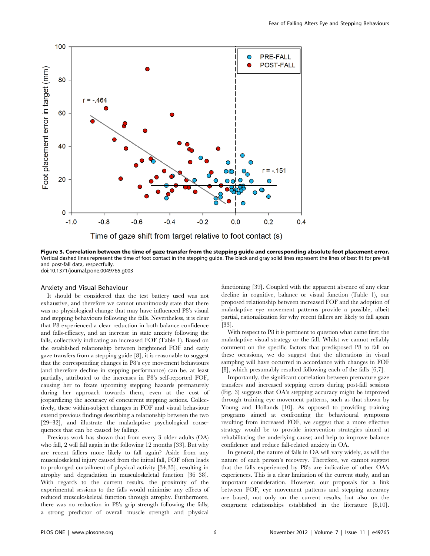

Figure 3. Correlation between the time of gaze transfer from the stepping guide and corresponding absolute foot placement error. Vertical dashed lines represent the time of foot contact in the stepping guide. The black and gray solid lines represent the lines of best fit for pre-fall and post-fall data, respectfully. doi:10.1371/journal.pone.0049765.g003

#### Anxiety and Visual Behaviour

It should be considered that the test battery used was not exhaustive, and therefore we cannot unanimously state that there was no physiological change that may have influenced P8's visual and stepping behaviours following the falls. Nevertheless, it is clear that P8 experienced a clear reduction in both balance confidence and falls-efficacy, and an increase in state anxiety following the falls, collectively indicating an increased FOF (Table 1). Based on the established relationship between heightened FOF and early gaze transfers from a stepping guide [8], it is reasonable to suggest that the corresponding changes in P8's eye movement behaviours (and therefore decline in stepping performance) can be, at least partially, attributed to the increases in P8's self-reported FOF, causing her to fixate upcoming stepping hazards prematurely during her approach towards them, even at the cost of jeopardizing the accuracy of concurrent stepping actions. Collectively, these within-subject changes in FOF and visual behaviour extend previous findings describing a relationship between the two [29–32], and illustrate the maladaptive psychological consequences that can be caused by falling.

Previous work has shown that from every 3 older adults (OA) who fall, 2 will fall again in the following 12 months [33]. But why are recent fallers more likely to fall again? Aside from any musculoskeletal injury caused from the initial fall, FOF often leads to prolonged curtailment of physical activity [34,35], resulting in atrophy and degradation in musculoskeletal function [36–38]. With regards to the current results, the proximity of the experimental sessions to the falls would minimise any effects of reduced musculoskeletal function through atrophy. Furthermore, there was no reduction in P8's grip strength following the falls; a strong predictor of overall muscle strength and physical functioning [39]. Coupled with the apparent absence of any clear decline in cognitive, balance or visual function (Table 1), our proposed relationship between increased FOF and the adoption of maladaptive eye movement patterns provide a possible, albeit partial, rationalization for why recent fallers are likely to fall again [33].

With respect to P8 it is pertinent to question what came first; the maladaptive visual strategy or the fall. Whilst we cannot reliably comment on the specific factors that predisposed P8 to fall on these occasions, we do suggest that the alterations in visual sampling will have occurred in accordance with changes in FOF [8], which presumably resulted following each of the falls [6,7].

Importantly, the significant correlation between premature gaze transfers and increased stepping errors during post-fall sessions (Fig. 3) suggests that OA's stepping accuracy might be improved through training eye movement patterns, such as that shown by Young and Hollands [10]. As opposed to providing training programs aimed at confronting the behavioural symptoms resulting from increased FOF, we suggest that a more effective strategy would be to provide intervention strategies aimed at rehabilitating the underlying cause; and help to improve balance confidence and reduce fall-related anxiety in OA.

In general, the nature of falls in OA will vary widely, as will the nature of each person's recovery. Therefore, we cannot suggest that the falls experienced by P8's are indicative of other OA's experiences. This is a clear limitation of the current study, and an important consideration. However, our proposals for a link between FOF, eye movement patterns and stepping accuracy are based, not only on the current results, but also on the congruent relationships established in the literature [8,10].